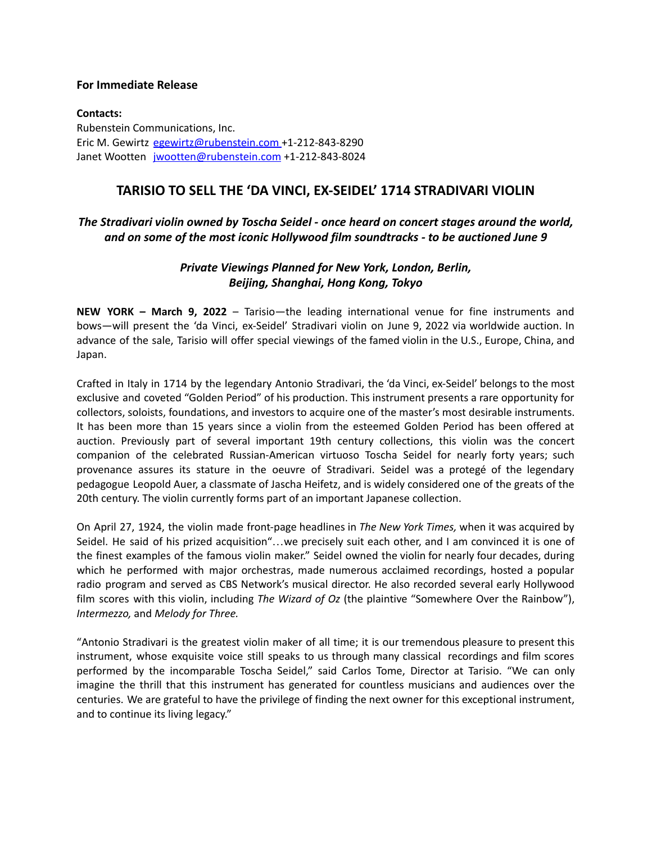## **For Immediate Release**

**Contacts:** Rubenstein Communications, Inc. Eric M. Gewirtz [egewirtz@rubenstein.com](mailto:egewirtz@rubenstein.com) +1-212-843-8290 Janet Wootten [jwootten@rubenstein.com](mailto:jwootten@rubenstein.com) +1-212-843-8024

## **TARISIO TO SELL THE 'DA VINCI, EX-SEIDEL' 1714 STRADIVARI VIOLIN**

## *The Stradivari violin owned by Toscha Seidel - once heard on concert stages around the world, and on some of the most iconic Hollywood film soundtracks - to be auctioned June 9*

## *Private Viewings Planned for New York, London, Berlin, Beijing, Shanghai, Hong Kong, Tokyo*

**NEW YORK – March 9, 2022** – Tarisio—the leading international venue for fine instruments and bows—will present the 'da Vinci, ex-Seidel' Stradivari violin on June 9, 2022 via worldwide auction. In advance of the sale, Tarisio will offer special viewings of the famed violin in the U.S., Europe, China, and Japan.

Crafted in Italy in 1714 by the legendary Antonio Stradivari, the 'da Vinci, ex-Seidel' belongs to the most exclusive and coveted "Golden Period" of his production. This instrument presents a rare opportunity for collectors, soloists, foundations, and investors to acquire one of the master's most desirable instruments. It has been more than 15 years since a violin from the esteemed Golden Period has been offered at auction. Previously part of several important 19th century collections, this violin was the concert companion of the celebrated Russian-American virtuoso Toscha Seidel for nearly forty years; such provenance assures its stature in the oeuvre of Stradivari. Seidel was a protegé of the legendary pedagogue Leopold Auer, a classmate of Jascha Heifetz, and is widely considered one of the greats of the 20th century. The violin currently forms part of an important Japanese collection.

On April 27, 1924, the violin made front-page headlines in *The New York Times,* when it was acquired by Seidel. He said of his prized acquisition"…we precisely suit each other, and I am convinced it is one of the finest examples of the famous violin maker." Seidel owned the violin for nearly four decades, during which he performed with major orchestras, made numerous acclaimed recordings, hosted a popular radio program and served as CBS Network's musical director. He also recorded several early Hollywood film scores with this violin, including *The Wizard of Oz* (the plaintive "Somewhere Over the Rainbow"), *Intermezzo,* and *Melody for Three.*

"Antonio Stradivari is the greatest violin maker of all time; it is our tremendous pleasure to present this instrument, whose exquisite voice still speaks to us through many classical recordings and film scores performed by the incomparable Toscha Seidel," said Carlos Tome, Director at Tarisio. "We can only imagine the thrill that this instrument has generated for countless musicians and audiences over the centuries. We are grateful to have the privilege of finding the next owner for this exceptional instrument, and to continue its living legacy."